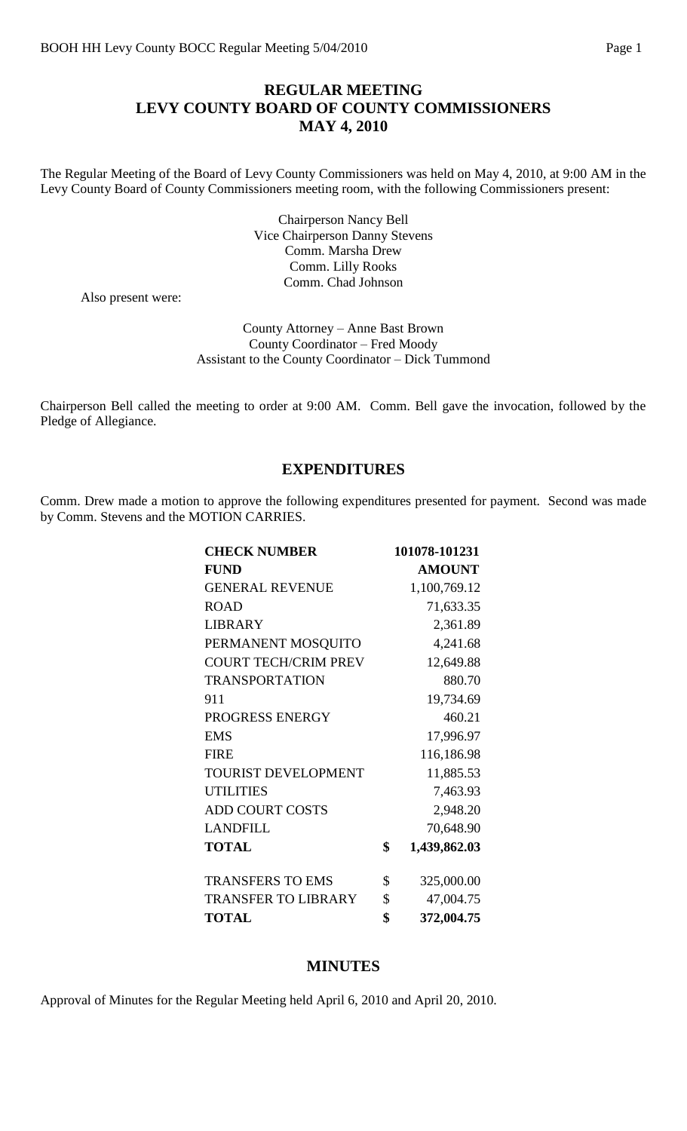## **REGULAR MEETING LEVY COUNTY BOARD OF COUNTY COMMISSIONERS MAY 4, 2010**

The Regular Meeting of the Board of Levy County Commissioners was held on May 4, 2010, at 9:00 AM in the Levy County Board of County Commissioners meeting room, with the following Commissioners present:

> Chairperson Nancy Bell Vice Chairperson Danny Stevens Comm. Marsha Drew Comm. Lilly Rooks Comm. Chad Johnson

Also present were:

County Attorney – Anne Bast Brown County Coordinator – Fred Moody Assistant to the County Coordinator – Dick Tummond

Chairperson Bell called the meeting to order at 9:00 AM. Comm. Bell gave the invocation, followed by the Pledge of Allegiance.

#### **EXPENDITURES**

Comm. Drew made a motion to approve the following expenditures presented for payment. Second was made by Comm. Stevens and the MOTION CARRIES.

| <b>CHECK NUMBER</b>         | 101078-101231      |
|-----------------------------|--------------------|
| <b>FUND</b>                 | <b>AMOUNT</b>      |
| <b>GENERAL REVENUE</b>      | 1,100,769.12       |
| <b>ROAD</b>                 | 71,633.35          |
| <b>LIBRARY</b>              | 2,361.89           |
| PERMANENT MOSQUITO          | 4,241.68           |
| <b>COURT TECH/CRIM PREV</b> | 12,649.88          |
| <b>TRANSPORTATION</b>       | 880.70             |
| 911                         | 19,734.69          |
| PROGRESS ENERGY             | 460.21             |
| <b>EMS</b>                  | 17,996.97          |
| <b>FIRE</b>                 | 116,186.98         |
| <b>TOURIST DEVELOPMENT</b>  | 11,885.53          |
| <b>UTILITIES</b>            | 7,463.93           |
| <b>ADD COURT COSTS</b>      | 2,948.20           |
| <b>LANDFILL</b>             | 70,648.90          |
| <b>TOTAL</b>                | \$<br>1,439,862.03 |
| <b>TRANSFERS TO EMS</b>     | \$<br>325,000.00   |
| <b>TRANSFER TO LIBRARY</b>  | \$<br>47,004.75    |
| <b>TOTAL</b>                | \$<br>372,004.75   |

#### **MINUTES**

Approval of Minutes for the Regular Meeting held April 6, 2010 and April 20, 2010.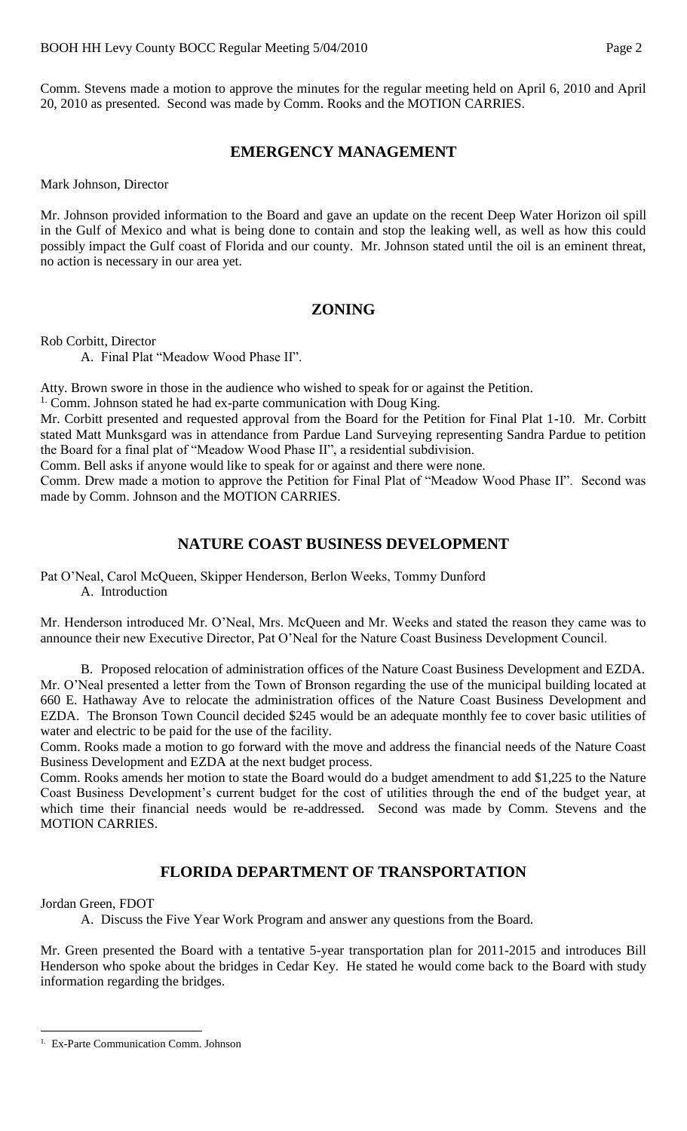Comm. Stevens made a motion to approve the minutes for the regular meeting held on April 6, 2010 and April 20, 2010 as presented. Second was made by Comm. Rooks and the MOTION CARRIES.

#### **EMERGENCY MANAGEMENT**

Mark Johnson, Director

Mr. Johnson provided information to the Board and gave an update on the recent Deep Water Horizon oil spill in the Gulf of Mexico and what is being done to contain and stop the leaking well, as well as how this could possibly impact the Gulf coast of Florida and our county. Mr. Johnson stated until the oil is an eminent threat, no action is necessary in our area yet.

## **ZONING**

Rob Corbitt, Director

A. Final Plat "Meadow Wood Phase II".

Atty. Brown swore in those in the audience who wished to speak for or against the Petition.

 $1$ . Comm. Johnson stated he had ex-parte communication with Doug King.

Mr. Corbitt presented and requested approval from the Board for the Petition for Final Plat 1-10. Mr. Corbitt stated Matt Munksgard was in attendance from Pardue Land Surveying representing Sandra Pardue to petition the Board for a final plat of "Meadow Wood Phase II", a residential subdivision.

Comm. Bell asks if anyone would like to speak for or against and there were none.

Comm. Drew made a motion to approve the Petition for Final Plat of "Meadow Wood Phase II". Second was made by Comm. Johnson and the MOTION CARRIES.

## **NATURE COAST BUSINESS DEVELOPMENT**

Pat O'Neal, Carol McQueen, Skipper Henderson, Berlon Weeks, Tommy Dunford A. Introduction

Mr. Henderson introduced Mr. O'Neal, Mrs. McQueen and Mr. Weeks and stated the reason they came was to announce their new Executive Director, Pat O'Neal for the Nature Coast Business Development Council.

B. Proposed relocation of administration offices of the Nature Coast Business Development and EZDA. Mr. O'Neal presented a letter from the Town of Bronson regarding the use of the municipal building located at 660 E. Hathaway Ave to relocate the administration offices of the Nature Coast Business Development and EZDA. The Bronson Town Council decided \$245 would be an adequate monthly fee to cover basic utilities of water and electric to be paid for the use of the facility.

Comm. Rooks made a motion to go forward with the move and address the financial needs of the Nature Coast Business Development and EZDA at the next budget process.

Comm. Rooks amends her motion to state the Board would do a budget amendment to add \$1,225 to the Nature Coast Business Development's current budget for the cost of utilities through the end of the budget year, at which time their financial needs would be re-addressed. Second was made by Comm. Stevens and the MOTION CARRIES.

## **FLORIDA DEPARTMENT OF TRANSPORTATION**

Jordan Green, FDOT

 $\overline{a}$ 

A. Discuss the Five Year Work Program and answer any questions from the Board.

Mr. Green presented the Board with a tentative 5-year transportation plan for 2011-2015 and introduces Bill Henderson who spoke about the bridges in Cedar Key. He stated he would come back to the Board with study information regarding the bridges.

<sup>1.</sup> Ex-Parte Communication Comm. Johnson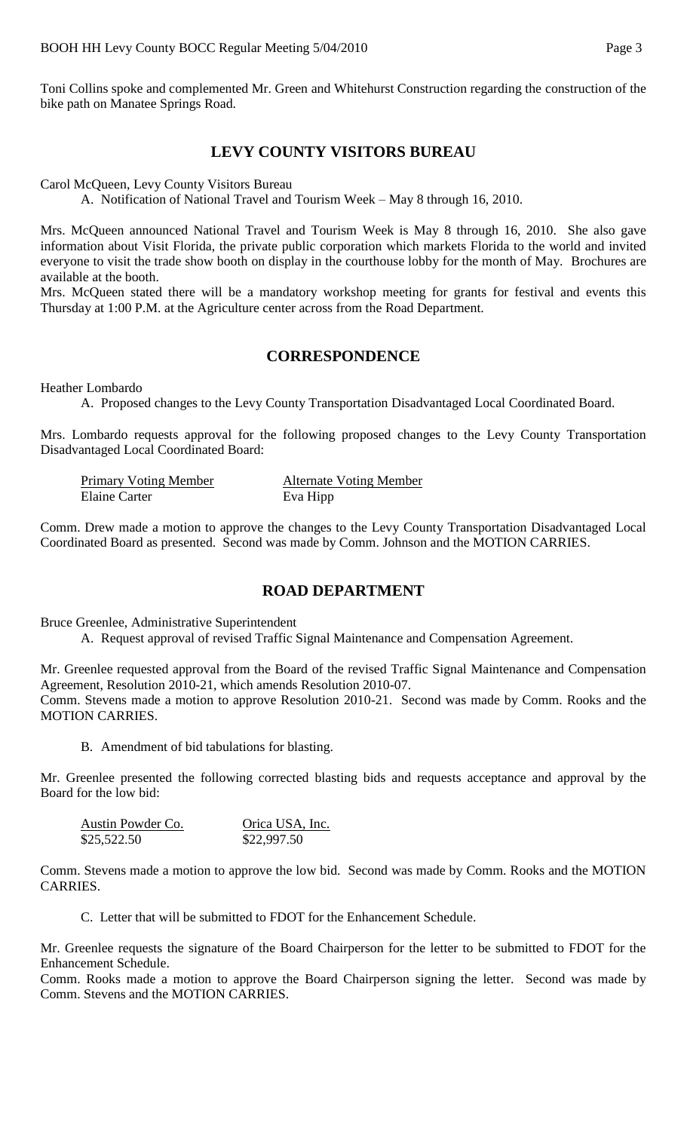Toni Collins spoke and complemented Mr. Green and Whitehurst Construction regarding the construction of the bike path on Manatee Springs Road.

## **LEVY COUNTY VISITORS BUREAU**

Carol McQueen, Levy County Visitors Bureau

A. Notification of National Travel and Tourism Week – May 8 through 16, 2010.

Mrs. McQueen announced National Travel and Tourism Week is May 8 through 16, 2010. She also gave information about Visit Florida, the private public corporation which markets Florida to the world and invited everyone to visit the trade show booth on display in the courthouse lobby for the month of May. Brochures are available at the booth.

Mrs. McQueen stated there will be a mandatory workshop meeting for grants for festival and events this Thursday at 1:00 P.M. at the Agriculture center across from the Road Department.

#### **CORRESPONDENCE**

Heather Lombardo

A. Proposed changes to the Levy County Transportation Disadvantaged Local Coordinated Board.

Mrs. Lombardo requests approval for the following proposed changes to the Levy County Transportation Disadvantaged Local Coordinated Board:

| <b>Primary Voting Member</b> | <b>Alternate Voting Member</b> |
|------------------------------|--------------------------------|
| Elaine Carter                | Eva Hipp                       |

Comm. Drew made a motion to approve the changes to the Levy County Transportation Disadvantaged Local Coordinated Board as presented. Second was made by Comm. Johnson and the MOTION CARRIES.

#### **ROAD DEPARTMENT**

Bruce Greenlee, Administrative Superintendent

A. Request approval of revised Traffic Signal Maintenance and Compensation Agreement.

Mr. Greenlee requested approval from the Board of the revised Traffic Signal Maintenance and Compensation Agreement, Resolution 2010-21, which amends Resolution 2010-07. Comm. Stevens made a motion to approve Resolution 2010-21. Second was made by Comm. Rooks and the MOTION CARRIES.

B. Amendment of bid tabulations for blasting.

Mr. Greenlee presented the following corrected blasting bids and requests acceptance and approval by the Board for the low bid:

| Austin Powder Co. | Orica USA, Inc. |
|-------------------|-----------------|
| \$25,522.50       | \$22,997.50     |

Comm. Stevens made a motion to approve the low bid. Second was made by Comm. Rooks and the MOTION CARRIES.

C. Letter that will be submitted to FDOT for the Enhancement Schedule.

Mr. Greenlee requests the signature of the Board Chairperson for the letter to be submitted to FDOT for the Enhancement Schedule.

Comm. Rooks made a motion to approve the Board Chairperson signing the letter. Second was made by Comm. Stevens and the MOTION CARRIES.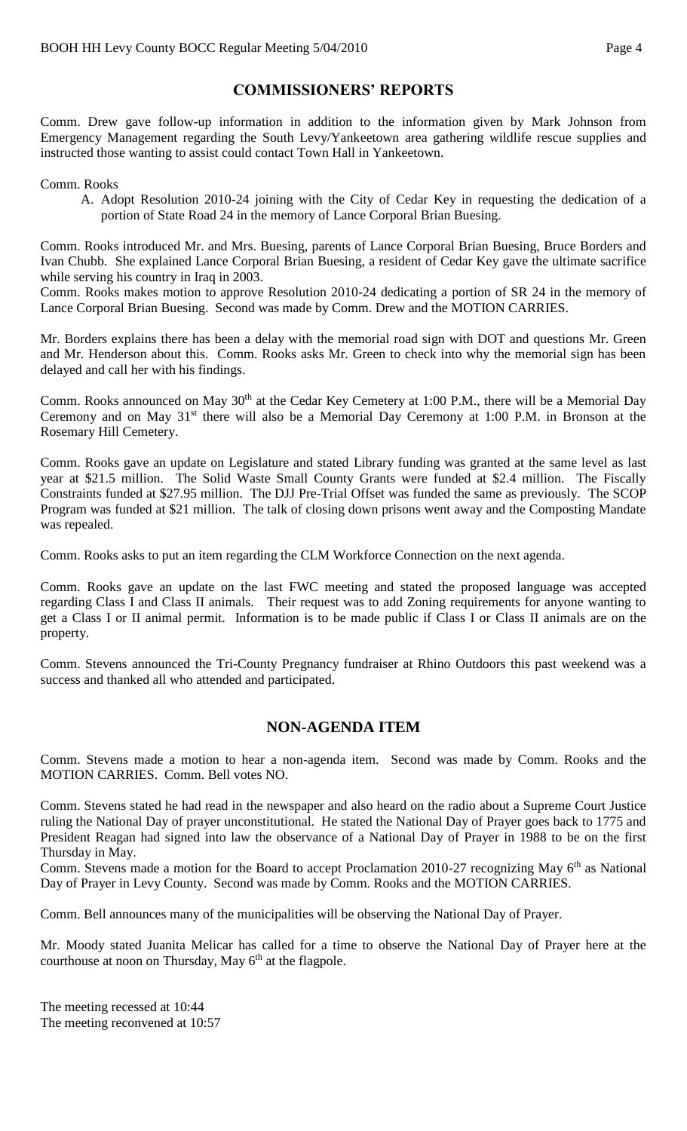# **COMMISSIONERS' REPORTS**

Comm. Drew gave follow-up information in addition to the information given by Mark Johnson from Emergency Management regarding the South Levy/Yankeetown area gathering wildlife rescue supplies and instructed those wanting to assist could contact Town Hall in Yankeetown.

#### Comm. Rooks

A. Adopt Resolution 2010-24 joining with the City of Cedar Key in requesting the dedication of a portion of State Road 24 in the memory of Lance Corporal Brian Buesing.

Comm. Rooks introduced Mr. and Mrs. Buesing, parents of Lance Corporal Brian Buesing, Bruce Borders and Ivan Chubb. She explained Lance Corporal Brian Buesing, a resident of Cedar Key gave the ultimate sacrifice while serving his country in Iraq in 2003.

Comm. Rooks makes motion to approve Resolution 2010-24 dedicating a portion of SR 24 in the memory of Lance Corporal Brian Buesing. Second was made by Comm. Drew and the MOTION CARRIES.

Mr. Borders explains there has been a delay with the memorial road sign with DOT and questions Mr. Green and Mr. Henderson about this. Comm. Rooks asks Mr. Green to check into why the memorial sign has been delayed and call her with his findings.

Comm. Rooks announced on May 30<sup>th</sup> at the Cedar Key Cemetery at 1:00 P.M., there will be a Memorial Day Ceremony and on May 31<sup>st</sup> there will also be a Memorial Day Ceremony at 1:00 P.M. in Bronson at the Rosemary Hill Cemetery.

Comm. Rooks gave an update on Legislature and stated Library funding was granted at the same level as last year at \$21.5 million. The Solid Waste Small County Grants were funded at \$2.4 million. The Fiscally Constraints funded at \$27.95 million. The DJJ Pre-Trial Offset was funded the same as previously. The SCOP Program was funded at \$21 million. The talk of closing down prisons went away and the Composting Mandate was repealed.

Comm. Rooks asks to put an item regarding the CLM Workforce Connection on the next agenda.

Comm. Rooks gave an update on the last FWC meeting and stated the proposed language was accepted regarding Class I and Class II animals. Their request was to add Zoning requirements for anyone wanting to get a Class I or II animal permit. Information is to be made public if Class I or Class II animals are on the property.

Comm. Stevens announced the Tri-County Pregnancy fundraiser at Rhino Outdoors this past weekend was a success and thanked all who attended and participated.

# **NON-AGENDA ITEM**

Comm. Stevens made a motion to hear a non-agenda item. Second was made by Comm. Rooks and the MOTION CARRIES. Comm. Bell votes NO.

Comm. Stevens stated he had read in the newspaper and also heard on the radio about a Supreme Court Justice ruling the National Day of prayer unconstitutional. He stated the National Day of Prayer goes back to 1775 and President Reagan had signed into law the observance of a National Day of Prayer in 1988 to be on the first Thursday in May.

Comm. Stevens made a motion for the Board to accept Proclamation 2010-27 recognizing May 6<sup>th</sup> as National Day of Prayer in Levy County. Second was made by Comm. Rooks and the MOTION CARRIES.

Comm. Bell announces many of the municipalities will be observing the National Day of Prayer.

Mr. Moody stated Juanita Melicar has called for a time to observe the National Day of Prayer here at the courthouse at noon on Thursday, May  $6<sup>th</sup>$  at the flagpole.

The meeting recessed at 10:44 The meeting reconvened at 10:57